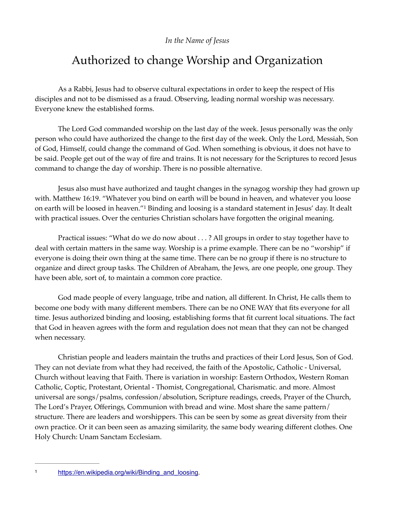## *In the Name of Jesus*

## Authorized to change Worship and Organization

As a Rabbi, Jesus had to observe cultural expectations in order to keep the respect of His disciples and not to be dismissed as a fraud. Observing, leading normal worship was necessary. Everyone knew the established forms.

The Lord God commanded worship on the last day of the week. Jesus personally was the only person who could have authorized the change to the first day of the week. Only the Lord, Messiah, Son of God, Himself, could change the command of God. When something is obvious, it does not have to be said. People get out of the way of fire and trains. It is not necessary for the Scriptures to record Jesus command to change the day of worship. There is no possible alternative.

<span id="page-0-1"></span>Jesus also must have authorized and taught changes in the synagog worship they had grown up with. Matthew 16:19. "Whatever you bind on earth will be bound in heaven, and whatever you loose onearth will be loosed in heaven."<sup>[1](#page-0-0)</sup> Binding and loosing is a standard statement in Jesus' day. It dealt with practical issues. Over the centuries Christian scholars have forgotten the original meaning.

Practical issues: "What do we do now about . . . ? All groups in order to stay together have to deal with certain matters in the same way. Worship is a prime example. There can be no "worship" if everyone is doing their own thing at the same time. There can be no group if there is no structure to organize and direct group tasks. The Children of Abraham, the Jews, are one people, one group. They have been able, sort of, to maintain a common core practice.

God made people of every language, tribe and nation, all different. In Christ, He calls them to become one body with many different members. There can be no ONE WAY that fits everyone for all time. Jesus authorized binding and loosing, establishing forms that fit current local situations. The fact that God in heaven agrees with the form and regulation does not mean that they can not be changed when necessary.

Christian people and leaders maintain the truths and practices of their Lord Jesus, Son of God. They can not deviate from what they had received, the faith of the Apostolic, Catholic - Universal, Church without leaving that Faith. There is variation in worship: Eastern Orthodox, Western Roman Catholic, Coptic, Protestant, Oriental - Thomist, Congregational, Charismatic. and more. Almost universal are songs/psalms, confession/absolution, Scripture readings, creeds, Prayer of the Church, The Lord's Prayer, Offerings, Communion with bread and wine. Most share the same pattern/ structure. There are leaders and worshippers. This can be seen by some as great diversity from their own practice. Or it can been seen as amazing similarity, the same body wearing different clothes. One Holy Church: Unam Sanctam Ecclesiam.

<span id="page-0-0"></span><sup>1</sup> [https://en.wikipedia.org/wiki/Binding\\_and\\_loosing](https://en.wikipedia.org/wiki/Binding_and_loosing).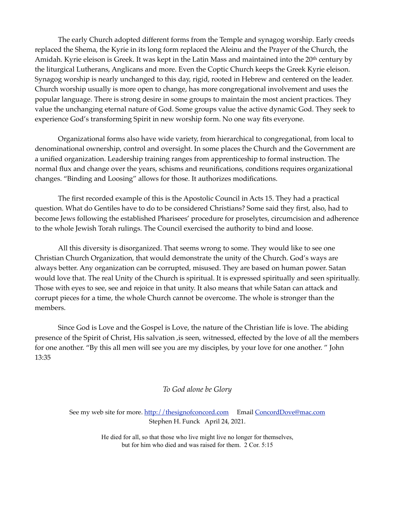The early Church adopted different forms from the Temple and synagog worship. Early creeds replaced the Shema, the Kyrie in its long form replaced the Aleinu and the Prayer of the Church, the Amidah. Kyrie eleison is Greek. It was kept in the Latin Mass and maintained into the 20<sup>th</sup> century by the liturgical Lutherans, Anglicans and more. Even the Coptic Church keeps the Greek Kyrie eleison. Synagog worship is nearly unchanged to this day, rigid, rooted in Hebrew and centered on the leader. Church worship usually is more open to change, has more congregational involvement and uses the popular language. There is strong desire in some groups to maintain the most ancient practices. They value the unchanging eternal nature of God. Some groups value the active dynamic God. They seek to experience God's transforming Spirit in new worship form. No one way fits everyone.

Organizational forms also have wide variety, from hierarchical to congregational, from local to denominational ownership, control and oversight. In some places the Church and the Government are a unified organization. Leadership training ranges from apprenticeship to formal instruction. The normal flux and change over the years, schisms and reunifications, conditions requires organizational changes. "Binding and Loosing" allows for those. It authorizes modifications.

The first recorded example of this is the Apostolic Council in Acts 15. They had a practical question. What do Gentiles have to do to be considered Christians? Some said they first, also, had to become Jews following the established Pharisees' procedure for proselytes, circumcision and adherence to the whole Jewish Torah rulings. The Council exercised the authority to bind and loose.

All this diversity is disorganized. That seems wrong to some. They would like to see one Christian Church Organization, that would demonstrate the unity of the Church. God's ways are always better. Any organization can be corrupted, misused. They are based on human power. Satan would love that. The real Unity of the Church is spiritual. It is expressed spiritually and seen spiritually. Those with eyes to see, see and rejoice in that unity. It also means that while Satan can attack and corrupt pieces for a time, the whole Church cannot be overcome. The whole is stronger than the members.

Since God is Love and the Gospel is Love, the nature of the Christian life is love. The abiding presence of the Spirit of Christ, His salvation ,is seen, witnessed, effected by the love of all the members for one another. "By this all men will see you are my disciples, by your love for one another. " John 13:35

*To God alone be Glory* 

See my web site for more. <http://thesignofconcord.com>Email [ConcordDove@mac.com](mailto:ConcordDove@mac.com) Stephen H. Funck April 24, 2021.

> He died for all, so that those who live might live no longer for themselves, but for him who died and was raised for them. 2 Cor. 5:15